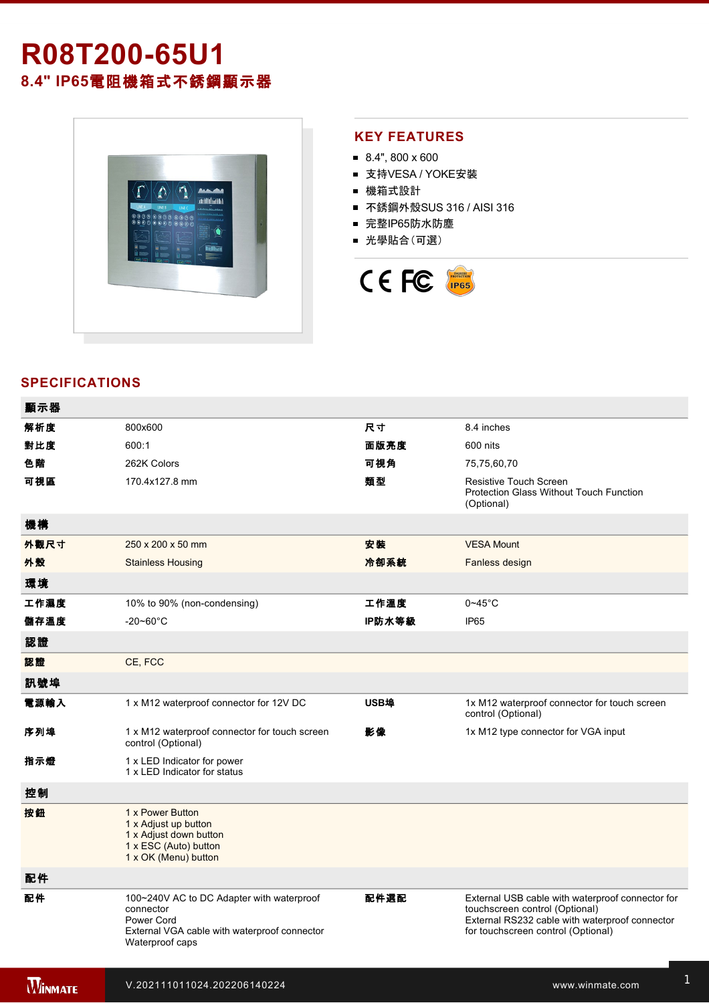# **R08T20065U1 8.4" IP65**電阻機箱式不銹鋼顯示器



#### **KEY FEATURES**

- $8.4$ ", 800 x 600
- 支持VESA / YOKE安裝
- 機箱式設計
- 不銹鋼外殼SUS 316 / AISI 316
- 完整IP65防水防塵
- 光學貼合(可選)



### **SPECIFICATIONS**

電源規格 12V DC (M12 type)

| 顯示器            |                                                                                                                                         |        |                                                                                                                                                                            |
|----------------|-----------------------------------------------------------------------------------------------------------------------------------------|--------|----------------------------------------------------------------------------------------------------------------------------------------------------------------------------|
| 解析度            | 800x600                                                                                                                                 | 尺寸     | 8.4 inches                                                                                                                                                                 |
| 對比度            | 600:1                                                                                                                                   | 面版亮度   | 600 nits                                                                                                                                                                   |
| 色階             | 262K Colors                                                                                                                             | 可視角    | 75,75,60,70                                                                                                                                                                |
| 可視區            | 170.4x127.8 mm                                                                                                                          | 類型     | <b>Resistive Touch Screen</b><br>Protection Glass Without Touch Function<br>(Optional)                                                                                     |
| 機構             |                                                                                                                                         |        |                                                                                                                                                                            |
| 外觀尺寸           | 250 x 200 x 50 mm                                                                                                                       | 安装     | <b>VESA Mount</b>                                                                                                                                                          |
| 外殼             | <b>Stainless Housing</b>                                                                                                                | 冷卻系統   | Fanless design                                                                                                                                                             |
| 環境             |                                                                                                                                         |        |                                                                                                                                                                            |
| 工作濕度           | 10% to 90% (non-condensing)                                                                                                             | 工作溫度   | $0 - 45$ °C                                                                                                                                                                |
| 儲存溫度           | $-20 - 60^{\circ}$ C                                                                                                                    | IP防水等級 | IP <sub>65</sub>                                                                                                                                                           |
| 認證             |                                                                                                                                         |        |                                                                                                                                                                            |
| 認證             | CE, FCC                                                                                                                                 |        |                                                                                                                                                                            |
| 訊號埠            |                                                                                                                                         |        |                                                                                                                                                                            |
| 電源輸入           | 1 x M12 waterproof connector for 12V DC                                                                                                 | USB埠   | 1x M12 waterproof connector for touch screen<br>control (Optional)                                                                                                         |
| 序列埠            | 1 x M12 waterproof connector for touch screen<br>control (Optional)                                                                     | 影像     | 1x M12 type connector for VGA input                                                                                                                                        |
| 指示燈            | 1 x LED Indicator for power<br>1 x LED Indicator for status                                                                             |        |                                                                                                                                                                            |
| 控制             |                                                                                                                                         |        |                                                                                                                                                                            |
| 按鈕             | 1 x Power Button<br>1 x Adjust up button<br>1 x Adjust down button<br>1 x ESC (Auto) button<br>1 x OK (Menu) button                     |        |                                                                                                                                                                            |
| 配件             |                                                                                                                                         |        |                                                                                                                                                                            |
| 配件             | 100~240V AC to DC Adapter with waterproof<br>connector<br>Power Cord<br>External VGA cable with waterproof connector<br>Waterproof caps | 配件選配   | External USB cable with waterproof connector for<br>touchscreen control (Optional)<br>External RS232 cable with waterproof connector<br>for touchscreen control (Optional) |
| <b>WINMATE</b> | V.202111011024.202206140224                                                                                                             |        | www.winmate.com                                                                                                                                                            |